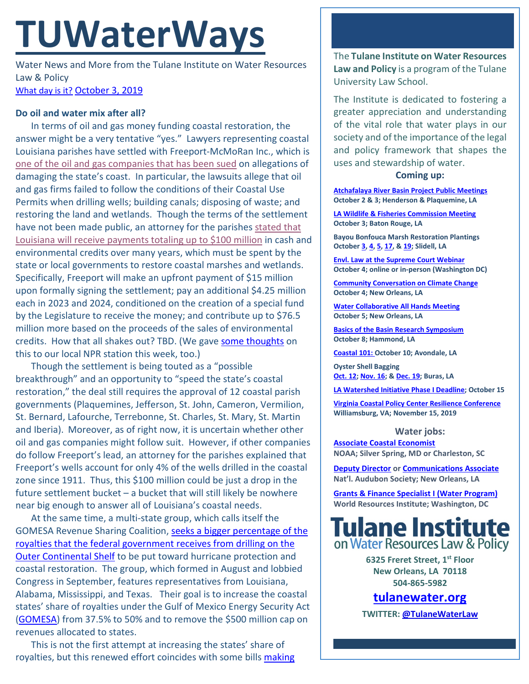# **TUWaterWays**

Water News and More from the Tulane Institute on Water Resources Law & Policy [What day is it?](http://static.vibe.com/uploads/2014/10/October-Third.gif) [October 3, 2019](https://thisdayinwaterhistory.wordpress.com/)

## **Do oil and water mix after all?**

In terms of oil and gas money funding coastal restoration, the answer might be a very tentative "yes." Lawyers representing coastal Louisiana parishes have settled with Freeport-McMoRan Inc., which is [one of the oil and gas companies that has been sued](https://www.nola.com/news/environment/article_b88f1347-ed79-59fe-85b7-bbdf66e3aede.html) on allegations of damaging the state's coast. In particular, the lawsuits allege that oil and gas firms failed to follow the conditions of their Coastal Use Permits when drilling wells; building canals; disposing of waste; and restoring the land and wetlands. Though the terms of the settlement have not been made public, an attorney for the parishes [stated that](https://www.nola.com/news/business/article_bb453b96-e070-11e9-be4c-d7a9572b4e20.html?utm_medium=social&utm_source=facebook&utm_campaign=user-share&fbclid=IwAR1uWo3j_JyKe5eNLGzkN5ffSSVdgttsT0qyzXv0AWI9K9YjfWEEh3hZJbg) Louisiana will receive [payments totaling up to \\$100 million](https://www.nola.com/news/business/article_bb453b96-e070-11e9-be4c-d7a9572b4e20.html?utm_medium=social&utm_source=facebook&utm_campaign=user-share&fbclid=IwAR1uWo3j_JyKe5eNLGzkN5ffSSVdgttsT0qyzXv0AWI9K9YjfWEEh3hZJbg) in cash and environmental credits over many years, which must be spent by the state or local governments to restore coastal marshes and wetlands. Specifically, Freeport will make an upfront payment of \$15 million upon formally signing the settlement; pay an additional \$4.25 million each in 2023 and 2024, conditioned on the creation of a special fund by the Legislature to receive the money; and contribute up to \$76.5 million more based on the proceeds of the sales of environmental credits. How that all shakes out? TBD. (We gave [some thoughts](https://www.wwno.org/post/freeport-mcmoran-settles-coastal-lawsuits) on this to our local NPR station this week, too.)

Though the settlement is being touted as a "possible breakthrough" and an opportunity to "speed the state's coastal restoration," the deal still requires the approval of 12 coastal parish governments (Plaquemines, Jefferson, St. John, Cameron, Vermilion, St. Bernard, Lafourche, Terrebonne, St. Charles, St. Mary, St. Martin and Iberia). Moreover, as of right now, it is uncertain whether other oil and gas companies might follow suit. However, if other companies do follow Freeport's lead, an attorney for the parishes explained that Freeport's wells account for only 4% of the wells drilled in the coastal zone since 1911. Thus, this \$100 million could be just a drop in the future settlement bucket – a bucket that will still likely be nowhere near big enough to answer all of Louisiana's coastal needs.

At the same time, a multi-state group, which calls itself the GOMESA Revenue Sharing Coalition, [seeks a bigger percentage of the](https://www.nola.com/news/environment/article_09175132-da41-11e9-bcd5-ff301c2f0c7d.html)  [royalties that the federal government receives from drilling on the](https://www.nola.com/news/environment/article_09175132-da41-11e9-bcd5-ff301c2f0c7d.html)  [Outer Continental Shelf](https://www.nola.com/news/environment/article_09175132-da41-11e9-bcd5-ff301c2f0c7d.html) to be put toward hurricane protection and coastal restoration. The group, which formed in August and lobbied Congress in September, features representatives from Louisiana, Alabama, Mississippi, and Texas. Their goal is to increase the coastal states' share of royalties under the Gulf of Mexico Energy Security Act [\(GOMESA\)](https://www.boem.gov/GOMESA/) from 37.5% to 50% and to remove the \$500 million cap on revenues allocated to states.

This is not the first attempt at increasing the states' share of royalties, but this renewed effort coincides with some bills making The **Tulane Institute on Water Resources Law and Policy** is a program of the Tulane University Law School.

The Institute is dedicated to fostering a greater appreciation and understanding of the vital role that water plays in our society and of the importance of the legal and policy framework that shapes the uses and stewardship of water.

## **Coming up:**

**[Atchafalaya River Basin Project Public Meetings](https://coastal.la.gov/calendar/) October 2 & 3; Henderson & Plaquemine, LA** 

**[LA Wildlife & Fisheries Commission Meeting](https://www.facebook.com/events/233391257543837/) October 3; Baton Rouge, LA**

**Bayou Bonfouca Marsh Restoration Plantings Octobe[r 3,](https://www.eventbrite.com/e/bayou-bonfouca-marsh-restoration-planting-event-on-october-3-2019-tickets-62294005046) [4,](https://www.eventbrite.com/e/bayou-bonfouca-marsh-restoration-planting-event-on-october-4-2019-tickets-62294028115) [5,](https://www.eventbrite.com/e/bayou-bonfouca-marsh-restoration-planting-event-on-october-5-2019-tickets-62294101334) [17,](https://www.eventbrite.com/e/bayou-bonfouca-marsh-restoration-planting-event-on-october-17-2019-tickets-62294162517?aff=ebapi) [& 19;](https://www.eventbrite.com/e/bayou-bonfouca-marsh-restoration-planting-event-on-october-19-2019-tickets-62294227712) Slidell, LA**

**[Envl. Law at the Supreme Court Webinar](https://www.eventbrite.com/e/public-interest-environmental-law-and-the-changing-supreme-court-registration-72109219617) October 4; online or in-person (Washington DC)**

**[Community Conversation on Climate Change](https://www.facebook.com/events/480915859418357/) October 4; New Orleans, LA**

**[Water Collaborative All Hands Meeting](https://www.eventbrite.com/e/all-hands-meeting-tickets-69666736083) October 5; New Orleans, LA**

**[Basics of the Basin Research Symposium](https://lacoast.gov/ocmc/MailContent.aspx?ID=10129) October 8; Hammond, LA**

**[Coastal 101:](https://www.facebook.com/events/2102750463354653/) October 10; Avondale, LA**

**Oyster Shell Bagging [Oct.](https://www.eventbrite.com/e/oyster-shell-bagging-coastal-louisiana-reef-restoration-october-12th-2019-tickets-68492473833) 12[; Nov. 16;](https://www.eventbrite.com/e/oyster-shell-bagging-coastal-louisiana-reef-restoration-dow-and-public-november-16th-2019-tickets-70078612015) & [Dec. 19;](https://www.eventbrite.com/e/oyster-shell-bagging-coastal-louisiana-reef-restoration-thursday-december-19-dartmouth-and-public-tickets-71566185387) Buras, LA**

**[LA Watershed Initiative Phase I Deadline;](https://watershed.la.gov/apply) October 15**

**[Virginia Coastal Policy Center Resilience Conference](https://www.eventbrite.com/e/vcpcs-7th-annual-conference-the-three-ps-of-resilience-tickets-66101478301?utm_source=VCPC+News&utm_campaign=2d3123ca99-EMAIL_CAMPAIGN_2019_10_02_01_48&utm_medium=email&utm_term=0_c3ee49aa51-2d3123ca99-434797337) Williamsburg, VA; November 15, 2019**

### **Water jobs:**

**[Associate Coastal Economist](https://jobs-css.icims.com/jobs/2068/associate-coastal-economist/job?mobile=false&width=850&height=500&bga=true&needsRedirect=false&jan1offset=-300&jun1offset=-240) NOAA; Silver Spring, MD or Charleston, SC** 

**[Deputy Director](https://careers-audubon.icims.com/jobs/4151/deputy-director%2C-audubon-louisiana/job?mobile=false&width=975&height=500&bga=true&needsRedirect=false&jan1offset=-360&jun1offset=-300) or [Communications Associate](https://www.ziprecruiter.com/c/National-Audubon-Society/Job/Communications-Associate-Audubon-Louisiana/-in-New-Orleans,LA?jid=DOe1a12fd6d84411fb8f105fb6568bcb6e&utm_campaign=google_jobs_apply&utm_source=google_jobs_apply&utm_medium=organic) Nat'l. Audubon Society; New Orleans, LA**

**[Grants & Finance Specialist I \(Water Program\)](https://jobs.jobvite.com/wri/job/oyaLafwn) World Resources Institute; Washington, DC**



**6325 Freret Street, 1st Floor New Orleans, LA 70118 504-865-5982** 

**tulanewater.org**

**TWITTER[: @TulaneWaterLaw](http://www.twitter.com/TulaneWaterLaw)**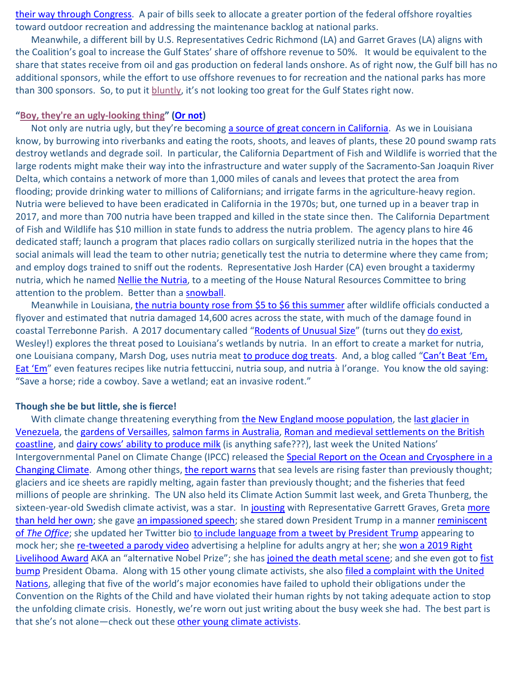[their way through Congress.](https://youtu.be/FFroMQlKiag?t=12) A pair of bills seek to allocate a greater portion of the federal offshore royalties toward outdoor recreation and addressing the maintenance backlog at national parks.

Meanwhile, a different bill by U.S. Representatives Cedric Richmond (LA) and Garret Graves (LA) aligns with the Coalition's goal to increase the Gulf States' share of offshore revenue to 50%. It would be equivalent to the share that states receive from oil and gas production on federal lands onshore. As of right now, the Gulf bill has no additional sponsors, while the effort to use offshore revenues to for recreation and the national parks has more than 300 sponsors. So, to put it [bluntly,](https://www.youtube.com/watch?v=9h-ogENp-A8) it's not looking too great for the Gulf States right now.

#### **["Boy, they're an ugly-looking thing"](http://frontburner.dmagazine.com/wp-content/uploads/2015/08/Nutria-inset.jpg) [\(Or not\)](https://getyarn.io/yarn-clip/7d701b89-80bb-4bf5-a973-769579fd9602)**

Not only are nutria ugly, but they're becoming [a source of great concern in California.](https://www.nola.com/news/environment/article_39b778ce-dfa7-11e9-9eb1-3f1265d3064a.html) As we in Louisiana know, by burrowing into riverbanks and eating the roots, shoots, and leaves of plants, these 20 pound swamp rats destroy wetlands and degrade soil. In particular, the California Department of Fish and Wildlife is worried that the large rodents might make their way into the infrastructure and water supply of the Sacramento-San Joaquin River Delta, which contains a network of more than 1,000 miles of canals and levees that protect the area from flooding; provide drinking water to millions of Californians; and irrigate farms in the agriculture-heavy region. Nutria were believed to have been eradicated in California in the 1970s; but, one turned up in a beaver trap in 2017, and more than 700 nutria have been trapped and killed in the state since then. The California Department of Fish and Wildlife has \$10 million in state funds to address the nutria problem. The agency plans to hire 46 dedicated staff; launch a program that places radio collars on surgically sterilized nutria in the hopes that the social animals will lead the team to other nutria; genetically test the nutria to determine where they came from; and employ dogs trained to sniff out the rodents. Representative Josh Harder (CA) even brought a taxidermy nutria, which he named [Nellie the Nutria,](https://twitter.com/RepJoshHarder/status/1177349629551230976) to a meeting of the House Natural Resources Committee to bring attention to the problem. Better than a [snowball.](https://youtu.be/3E0a_60PMR8?t=9)

Meanwhile in Louisiana, [the nutria bounty rose from \\$5 to \\$6 this summer](https://www.nola.com/news/environment/article_a5b2f5f6-99f4-11e9-8602-0bb16520c4f2.html) after wildlife officials conducted a flyover and estimated that nutria damaged 14,600 acres across the state, with much of the damage found in coastal Terrebonne Parish. A 2017 documentary called ["Rodents of Unusual Size"](http://www.rodentsofunusualsize.tv/) (turns out they [do exist,](https://www.bing.com/videos/search?q=rodents+of+unusual+size+princess+bride&&view=detail&mid=A693B63C88B223FAC6E9A693B63C88B223FAC6E9&rvsmid=C1F438E0E6081BBD95EEC1F438E0E6081BBD95EE&FORM=VDQVAP) Wesley!) explores the threat posed to Louisiana's wetlands by nutria. In an effort to create a market for nutria, one Louisiana company, Marsh Dog, uses nutria mea[t to produce dog treats.](https://www.foxnews.com/us/rodent-anyone-louisiana-company-turning-invasive-swamp-rodent-into-dog-treats) And, a blog called "Can't Beat 'Em, [Eat 'Em"](http://www.cantbeatemeatem.us/nutria.html) even features recipes like nutria fettuccini, nutria soup, and nutria à l'orange. You know the old saying: "Save a horse; ride a cowboy. Save a wetland; eat an invasive rodent."

#### **Though she be but little, she is fierce!**

With climate change threatening everything from [the New England moose population,](https://www.wbur.org/earthwhile/2019/09/28/moose-death-climate-change) the last glacier in [Venezuela,](https://abcnews.go.com/Technology/wireStory/intrepid-scientists-witness-final-days-venezuelan-glacier-65815094) the [gardens of Versailles,](https://time.com/5682965/climate-change-versailles-palace-gardens/) [salmon farms in Australia,](https://theprint.in/environment/salmon-farmers-are-trying-to-breed-more-climate-change-resistant-fish/297564/) [Roman and medieval settlements on the British](https://www.newswise.com/articles/historic-british-landscapes-under-severe-threat-from-climate-crisis)  [coastline,](https://www.newswise.com/articles/historic-british-landscapes-under-severe-threat-from-climate-crisis) and [dairy cows' ability to produce milk](https://www.boston.com/news/national-news/2019/09/22/global-warming-means-less-milk-if-dairies-cant-keep-cows-cool) (is anything safe???), last week the United Nations' Intergovernmental Panel on Climate Change (IPCC) released the [Special Report on the Ocean and Cryosphere in a](https://www.ipcc.ch/srocc/home/)  [Changing Climate.](https://www.ipcc.ch/srocc/home/) Among other things, [the report warns](https://www.cnn.com/2019/09/25/world/un-ipcc-report-oceans-and-ice-climate-change/index.html) that sea levels are rising faster than previously thought; glaciers and ice sheets are rapidly melting, again faster than previously thought; and the fisheries that feed millions of people are shrinking. The UN also held its Climate Action Summit last week, and Greta Thunberg, the sixteen-year-old Swedish climate activist, was a star. I[n jousting](https://www.youtube.com/watch?v=Ku9XMvbTias&utm_source=CNN+Five+Things&utm_campaign=770627970c-EMAIL_CAMPAIGN_2019_09_26_06_25&utm_medium=email&utm_term=0_6da287d761-770627970c-106891697) with Representative Garrett Graves, Greta more [than held her own;](https://www.rollingstone.com/politics/politics-news/greta-thunberg-garet-graves-climate-change-video-886908/amp/?__twitter_impression=true) she gave [an impassioned speech;](https://www.youtube.com/watch?v=TMrtLsQbaok) she stared down President Trump in a manner reminiscent of The Office; she updated her Twitter bio [to include language from a tweet by President Trump](https://thehill.com/homenews/administration/462783-greta-thunberg-updates-her-twitter-bio-to-include-trump-dig?fbclid=IwAR1-tN5flhlQLqRPdOlDhcmdtr-QRpdTHs-tHA_ZOoazPsRg99GphGZaWuA) appearing to mock her; she [re-tweeted a parody video](https://twitter.com/GretaThunberg/status/1177206650979135488) advertising a helpline for adults angry at her; she won a 2019 Right [Livelihood Award](https://www.cnn.com/2019/09/25/world/greta-thunberg-right-livelihood-nobel-trnd/index.html) AKA an "alternative Nobel Prize"; she has [joined the death metal scene;](https://www.stereogum.com/2059697/greta-thunberg-pivots-to-death-metal/video/) and she even got to fist [bump](https://pbs.twimg.com/media/EEsWPKUXUAEGku7.jpg) President Obama. Along with 15 other young climate activists, she als[o filed a complaint with](https://www.cnn.com/2019/09/23/world/united-nations-greta-thunberg-children-climate-change-human-rights-complaint/index.html?utm_source=CNN+Five+Things&utm_campaign=851ec0daf2-EMAIL_CAMPAIGN_2019_09_24_12_10&utm_medium=email&utm_term=0_6da287d761-851ec0daf2-106891697) the United [Nations,](https://www.cnn.com/2019/09/23/world/united-nations-greta-thunberg-children-climate-change-human-rights-complaint/index.html?utm_source=CNN+Five+Things&utm_campaign=851ec0daf2-EMAIL_CAMPAIGN_2019_09_24_12_10&utm_medium=email&utm_term=0_6da287d761-851ec0daf2-106891697) alleging that five of the world's major economies have failed to uphold their obligations under the Convention on the Rights of the Child and have violated their human rights by not taking adequate action to stop the unfolding climate crisis. Honestly, we're worn out just writing about the busy week she had. The best part is that she's not alone—check out these [other young climate activists.](https://www.cnn.com/2019/09/28/world/youth-environment-activists-greta-thunberg-trnd/index.html?utm_content=2019-09-30T15%3A00%3A41&utm_medium=social&utm_term=link&utm_source=fbCNN&fbclid=IwAR2B_B7QBxnVW9DGna6SUgDN4tZwT78movD4CdAdVZFF64EPaPqaVDI-Rtw)